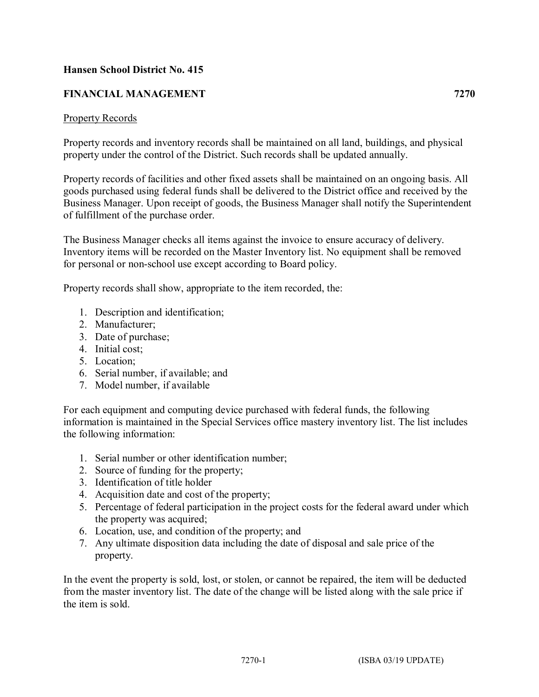## **Hansen School District No. 415**

## **FINANCIAL MANAGEMENT 7270**

#### Property Records

Property records and inventory records shall be maintained on all land, buildings, and physical property under the control of the District. Such records shall be updated annually.

Property records of facilities and other fixed assets shall be maintained on an ongoing basis. All goods purchased using federal funds shall be delivered to the District office and received by the Business Manager. Upon receipt of goods, the Business Manager shall notify the Superintendent of fulfillment of the purchase order.

The Business Manager checks all items against the invoice to ensure accuracy of delivery. Inventory items will be recorded on the Master Inventory list. No equipment shall be removed for personal or non-school use except according to Board policy.

Property records shall show, appropriate to the item recorded, the:

- 1. Description and identification;
- 2. Manufacturer;
- 3. Date of purchase;
- 4. Initial cost;
- 5. Location;
- 6. Serial number, if available; and
- 7. Model number, if available

For each equipment and computing device purchased with federal funds, the following information is maintained in the Special Services office mastery inventory list. The list includes the following information:

- 1. Serial number or other identification number;
- 2. Source of funding for the property;
- 3. Identification of title holder
- 4. Acquisition date and cost of the property;
- 5. Percentage of federal participation in the project costs for the federal award under which the property was acquired;
- 6. Location, use, and condition of the property; and
- 7. Any ultimate disposition data including the date of disposal and sale price of the property.

In the event the property is sold, lost, or stolen, or cannot be repaired, the item will be deducted from the master inventory list. The date of the change will be listed along with the sale price if the item is sold.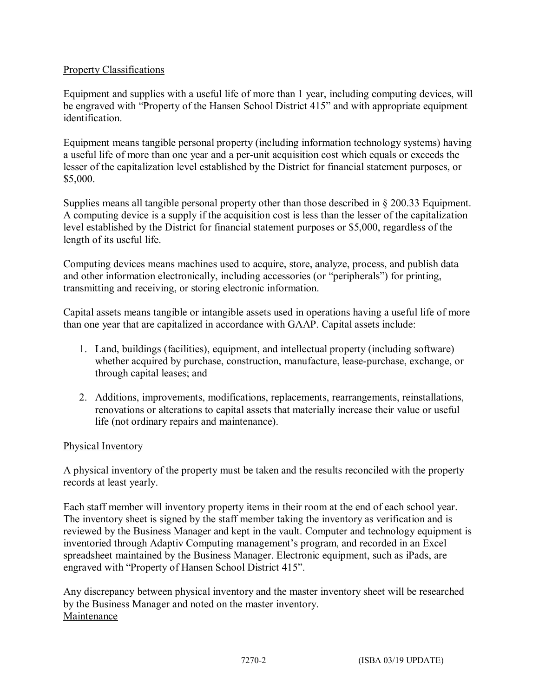## Property Classifications

Equipment and supplies with a useful life of more than 1 year, including computing devices, will be engraved with "Property of the Hansen School District 415" and with appropriate equipment identification.

Equipment means tangible personal property (including information technology systems) having a useful life of more than one year and a per-unit acquisition cost which equals or exceeds the lesser of the capitalization level established by the District for financial statement purposes, or \$5,000.

Supplies means all tangible personal property other than those described in § 200.33 Equipment. A computing device is a supply if the acquisition cost is less than the lesser of the capitalization level established by the District for financial statement purposes or \$5,000, regardless of the length of its useful life.

Computing devices means machines used to acquire, store, analyze, process, and publish data and other information electronically, including accessories (or "peripherals") for printing, transmitting and receiving, or storing electronic information.

Capital assets means tangible or intangible assets used in operations having a useful life of more than one year that are capitalized in accordance with GAAP. Capital assets include:

- 1. Land, buildings (facilities), equipment, and intellectual property (including software) whether acquired by purchase, construction, manufacture, lease-purchase, exchange, or through capital leases; and
- 2. Additions, improvements, modifications, replacements, rearrangements, reinstallations, renovations or alterations to capital assets that materially increase their value or useful life (not ordinary repairs and maintenance).

## Physical Inventory

A physical inventory of the property must be taken and the results reconciled with the property records at least yearly.

Each staff member will inventory property items in their room at the end of each school year. The inventory sheet is signed by the staff member taking the inventory as verification and is reviewed by the Business Manager and kept in the vault. Computer and technology equipment is inventoried through Adaptiv Computing management's program, and recorded in an Excel spreadsheet maintained by the Business Manager. Electronic equipment, such as iPads, are engraved with "Property of Hansen School District 415".

Any discrepancy between physical inventory and the master inventory sheet will be researched by the Business Manager and noted on the master inventory. Maintenance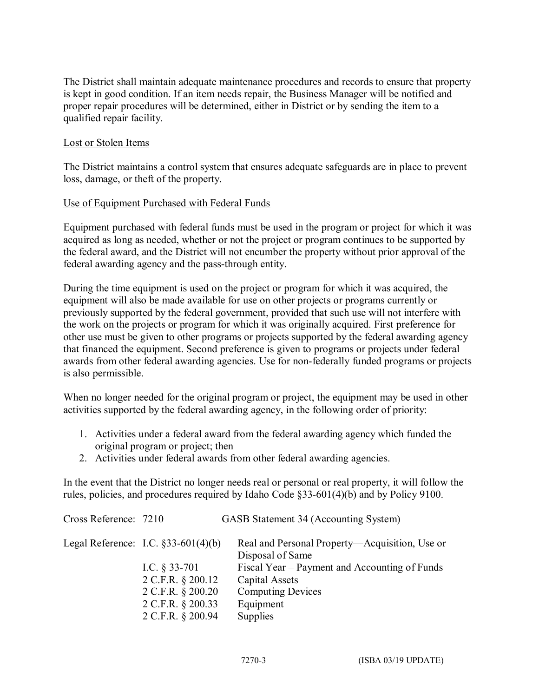The District shall maintain adequate maintenance procedures and records to ensure that property is kept in good condition. If an item needs repair, the Business Manager will be notified and proper repair procedures will be determined, either in District or by sending the item to a qualified repair facility.

#### Lost or Stolen Items

The District maintains a control system that ensures adequate safeguards are in place to prevent loss, damage, or theft of the property.

#### Use of Equipment Purchased with Federal Funds

Equipment purchased with federal funds must be used in the program or project for which it was acquired as long as needed, whether or not the project or program continues to be supported by the federal award, and the District will not encumber the property without prior approval of the federal awarding agency and the pass-through entity.

During the time equipment is used on the project or program for which it was acquired, the equipment will also be made available for use on other projects or programs currently or previously supported by the federal government, provided that such use will not interfere with the work on the projects or program for which it was originally acquired. First preference for other use must be given to other programs or projects supported by the federal awarding agency that financed the equipment. Second preference is given to programs or projects under federal awards from other federal awarding agencies. Use for non-federally funded programs or projects is also permissible.

When no longer needed for the original program or project, the equipment may be used in other activities supported by the federal awarding agency, in the following order of priority:

- 1. Activities under a federal award from the federal awarding agency which funded the original program or project; then
- 2. Activities under federal awards from other federal awarding agencies.

In the event that the District no longer needs real or personal or real property, it will follow the rules, policies, and procedures required by Idaho Code §33-601(4)(b) and by Policy 9100.

| Cross Reference: 7210                  | GASB Statement 34 (Accounting System)                              |
|----------------------------------------|--------------------------------------------------------------------|
| Legal Reference: I.C. $§$ 33-601(4)(b) | Real and Personal Property—Acquisition, Use or<br>Disposal of Same |
| I.C. $\S$ 33-701                       | Fiscal Year – Payment and Accounting of Funds                      |
|                                        | Capital Assets                                                     |
|                                        | <b>Computing Devices</b>                                           |
|                                        | Equipment                                                          |
| 2 C.F.R. § 200.94                      | Supplies                                                           |
|                                        | 2 C.F.R. § 200.12<br>2 C.F.R. § 200.20<br>2 C.F.R. § 200.33        |